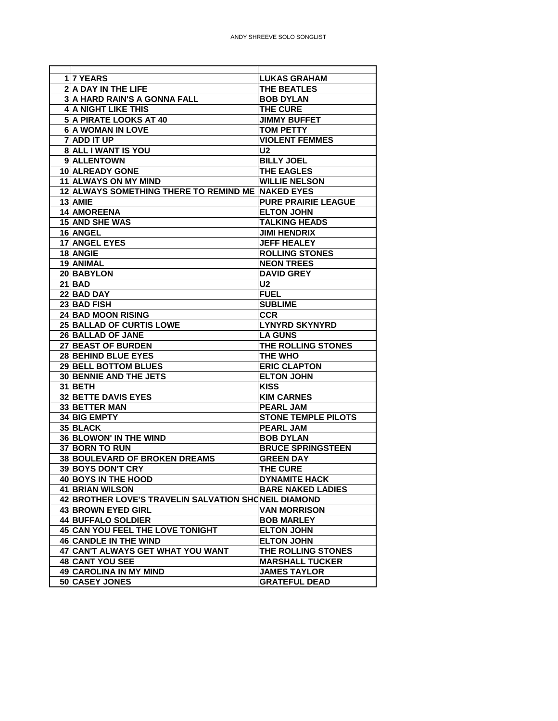| <b>117 YEARS</b>                                     | <b>LUKAS GRAHAM</b>        |
|------------------------------------------------------|----------------------------|
| 2 A DAY IN THE LIFE                                  | <b>THE BEATLES</b>         |
| <b>3 A HARD RAIN'S A GONNA FALL</b>                  | <b>BOB DYLAN</b>           |
| <b>4 A NIGHT LIKE THIS</b>                           | THE CURE                   |
| 5 A PIRATE LOOKS AT 40                               | <b>JIMMY BUFFET</b>        |
| 6 A WOMAN IN LOVE                                    | <b>TOM PETTY</b>           |
| 7 ADD IT UP                                          | <b>VIOLENT FEMMES</b>      |
| 8 ALL I WANT IS YOU                                  | U <sub>2</sub>             |
| 9 ALLENTOWN                                          | <b>BILLY JOEL</b>          |
| <b>10 ALREADY GONE</b>                               | THE EAGLES                 |
| 11 ALWAYS ON MY MIND                                 | <b>WILLIE NELSON</b>       |
| 12 ALWAYS SOMETHING THERE TO REMIND ME NAKED EYES    |                            |
| 13 AMIE                                              | <b>PURE PRAIRIE LEAGUE</b> |
| 14 AMOREENA                                          | <b>ELTON JOHN</b>          |
| <b>15 AND SHE WAS</b>                                | <b>TALKING HEADS</b>       |
| 16 ANGEL                                             | <b>JIMI HENDRIX</b>        |
| <b>17 ANGEL EYES</b>                                 | <b>JEFF HEALEY</b>         |
| 18 ANGIE                                             | <b>ROLLING STONES</b>      |
| 19 ANIMAL                                            | <b>NEON TREES</b>          |
| 20 BABYLON                                           | <b>DAVID GREY</b>          |
| $21$ BAD                                             | U <sub>2</sub>             |
| 22 BAD DAY                                           | <b>FUEL</b>                |
| 23 BAD FISH                                          | <b>SUBLIME</b>             |
| <b>24 BAD MOON RISING</b>                            | <b>CCR</b>                 |
| <b>25 BALLAD OF CURTIS LOWE</b>                      | <b>LYNYRD SKYNYRD</b>      |
| 26 BALLAD OF JANE                                    | <b>LA GUNS</b>             |
| 27 BEAST OF BURDEN                                   | THE ROLLING STONES         |
| 28 BEHIND BLUE EYES                                  | <b>THE WHO</b>             |
| 29 BELL BOTTOM BLUES                                 | <b>ERIC CLAPTON</b>        |
| 30 BENNIE AND THE JETS                               | <b>ELTON JOHN</b>          |
| 31 BETH                                              | <b>KISS</b>                |
| <b>32 BETTE DAVIS EYES</b>                           | <b>KIM CARNES</b>          |
| 33 BETTER MAN                                        | <b>PEARL JAM</b>           |
| 34 BIG EMPTY                                         | <b>STONE TEMPLE PILOTS</b> |
| 35 BLACK                                             | <b>PEARL JAM</b>           |
| <b>36 BLOWON' IN THE WIND</b>                        | <b>BOB DYLAN</b>           |
| 37 BORN TO RUN                                       | <b>BRUCE SPRINGSTEEN</b>   |
| 38 BOULEVARD OF BROKEN DREAMS                        | <b>GREEN DAY</b>           |
| 39 BOYS DON'T CRY                                    | <b>THE CURE</b>            |
| 40 BOYS IN THE HOOD                                  | <b>DYNAMITE HACK</b>       |
| 41 BRIAN WILSON                                      | <b>BARE NAKED LADIES</b>   |
| 42 BROTHER LOVE'S TRAVELIN SALVATION SHONEIL DIAMOND |                            |
| <b>43 BROWN EYED GIRL</b>                            | <b>VAN MORRISON</b>        |
| <b>44 BUFFALO SOLDIER</b>                            | <b>BOB MARLEY</b>          |
| 45 CAN YOU FEEL THE LOVE TONIGHT                     | <b>ELTON JOHN</b>          |
| 46 CANDLE IN THE WIND                                | <b>ELTON JOHN</b>          |
| 47 CAN'T ALWAYS GET WHAT YOU WANT                    | THE ROLLING STONES         |
| 48 CANT YOU SEE                                      | <b>MARSHALL TUCKER</b>     |
| 49 CAROLINA IN MY MIND                               | <b>JAMES TAYLOR</b>        |
| 50 CASEY JONES                                       | <b>GRATEFUL DEAD</b>       |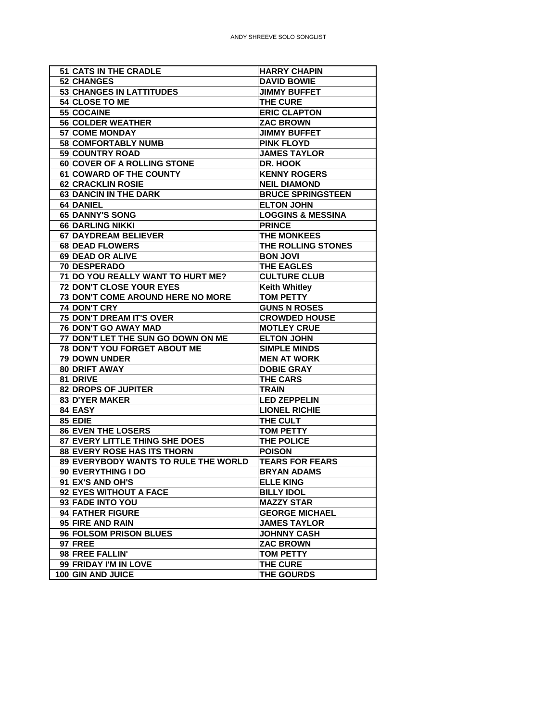| <b>51 CATS IN THE CRADLE</b>         | <b>HARRY CHAPIN</b>          |
|--------------------------------------|------------------------------|
| 52 CHANGES                           | <b>DAVID BOWIE</b>           |
| 53 CHANGES IN LATTITUDES             | <b>JIMMY BUFFET</b>          |
| 54 CLOSE TO ME                       | THE CURE                     |
| 55 COCAINE                           | <b>ERIC CLAPTON</b>          |
| 56 COLDER WEATHER                    | <b>ZAC BROWN</b>             |
| 57 COME MONDAY                       | <b>JIMMY BUFFET</b>          |
| 58 COMFORTABLY NUMB                  | <b>PINK FLOYD</b>            |
| 59 COUNTRY ROAD                      | <b>JAMES TAYLOR</b>          |
| 60 COVER OF A ROLLING STONE          | DR. HOOK                     |
| 61 COWARD OF THE COUNTY              | <b>KENNY ROGERS</b>          |
| 62 CRACKLIN ROSIE                    | <b>NEIL DIAMOND</b>          |
| 63 DANCIN IN THE DARK                | <b>BRUCE SPRINGSTEEN</b>     |
| 64 DANIEL                            | <b>ELTON JOHN</b>            |
| 65 DANNY'S SONG                      | <b>LOGGINS &amp; MESSINA</b> |
| 66 DARLING NIKKI                     | <b>PRINCE</b>                |
| 67 DAYDREAM BELIEVER                 | <b>THE MONKEES</b>           |
| 68 DEAD FLOWERS                      | THE ROLLING STONES           |
| 69 DEAD OR ALIVE                     | <b>BON JOVI</b>              |
| 70 DESPERADO                         | <b>THE EAGLES</b>            |
| 71 DO YOU REALLY WANT TO HURT ME?    | <b>CULTURE CLUB</b>          |
| 72 DON'T CLOSE YOUR EYES             | <b>Keith Whitley</b>         |
| 73 DON'T COME AROUND HERE NO MORE    | <b>TOM PETTY</b>             |
| 74 DON'T CRY                         | <b>GUNS N ROSES</b>          |
| 75 DON'T DREAM IT'S OVER             | <b>CROWDED HOUSE</b>         |
| 76 DON'T GO AWAY MAD                 | <b>MOTLEY CRUE</b>           |
| 77 DON'T LET THE SUN GO DOWN ON ME   | <b>ELTON JOHN</b>            |
| 78 DON'T YOU FORGET ABOUT ME         | <b>SIMPLE MINDS</b>          |
| 79 DOWN UNDER                        | <b>MEN AT WORK</b>           |
| 80 DRIFT AWAY                        | <b>DOBIE GRAY</b>            |
| 81 DRIVE                             | <b>THE CARS</b>              |
| 82 DROPS OF JUPITER                  | <b>TRAIN</b>                 |
| 83 D'YER MAKER                       | <b>LED ZEPPELIN</b>          |
| 84 EASY                              | <b>LIONEL RICHIE</b>         |
| 85 EDIE                              | THE CULT                     |
| <b>86 EVEN THE LOSERS</b>            | <b>TOM PETTY</b>             |
| 87 EVERY LITTLE THING SHE DOES       | THE POLICE                   |
| <b>88 EVERY ROSE HAS ITS THORN</b>   | <b>POISON</b>                |
| 89 EVERYBODY WANTS TO RULE THE WORLD | <b>TEARS FOR FEARS</b>       |
| 90 EVERYTHING I DO                   | <b>BRYAN ADAMS</b>           |
| 91 EX'S AND OH'S                     | <b>ELLE KING</b>             |
| 92 EYES WITHOUT A FACE               | <b>BILLY IDOL</b>            |
| 93 FADE INTO YOU                     | <b>MAZZY STAR</b>            |
| 94 FATHER FIGURE                     | <b>GEORGE MICHAEL</b>        |
| 95 FIRE AND RAIN                     | <b>JAMES TAYLOR</b>          |
| 96 FOLSOM PRISON BLUES               | <b>JOHNNY CASH</b>           |
| $97$ FREE                            | <b>ZAC BROWN</b>             |
| 98 FREE FALLIN'                      | <b>TOM PETTY</b>             |
| 99 FRIDAY I'M IN LOVE                | THE CURE                     |
| 100 GIN AND JUICE                    | THE GOURDS                   |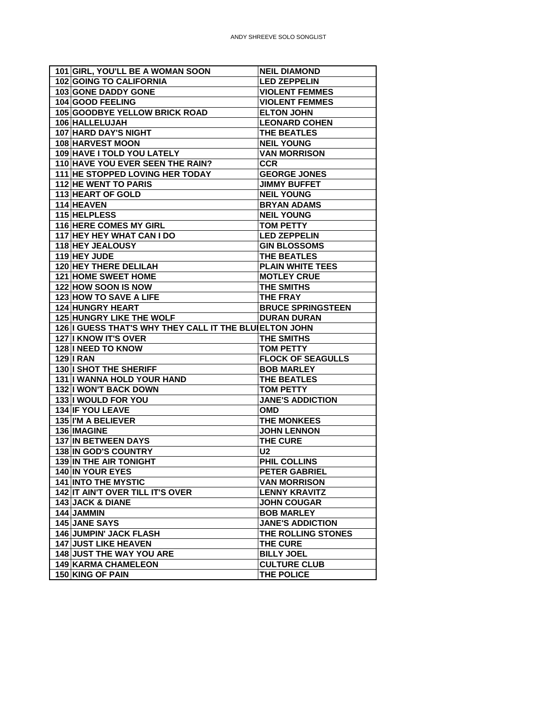| 101 GIRL, YOU'LL BE A WOMAN SOON                       | <b>NEIL DIAMOND</b>               |
|--------------------------------------------------------|-----------------------------------|
| 102 GOING TO CALIFORNIA                                | <b>LED ZEPPELIN</b>               |
| 103 GONE DADDY GONE                                    | <b>VIOLENT FEMMES</b>             |
| 104 GOOD FEELING                                       | <b>VIOLENT FEMMES</b>             |
| <b>105 GOODBYE YELLOW BRICK ROAD</b>                   | <b>ELTON JOHN</b>                 |
| 106 HALLELUJAH                                         | <b>LEONARD COHEN</b>              |
| 107 HARD DAY'S NIGHT                                   | THE BEATLES                       |
| 108 HARVEST MOON                                       | <b>NEIL YOUNG</b>                 |
| 109 HAVE I TOLD YOU LATELY                             | <b>VAN MORRISON</b>               |
| 110 HAVE YOU EVER SEEN THE RAIN?                       | <b>CCR</b>                        |
| 111 HE STOPPED LOVING HER TODAY                        | <b>GEORGE JONES</b>               |
| <b>112 HE WENT TO PARIS</b>                            | <b>JIMMY BUFFET</b>               |
| 113 HEART OF GOLD                                      | <b>NEIL YOUNG</b>                 |
| 114 HEAVEN                                             | <b>BRYAN ADAMS</b>                |
| 115 HELPLESS                                           | <b>NEIL YOUNG</b>                 |
| 116 HERE COMES MY GIRL                                 | <b>TOM PETTY</b>                  |
| 117 HEY HEY WHAT CAN I DO                              | <b>LED ZEPPELIN</b>               |
| 118 HEY JEALOUSY                                       | <b>GIN BLOSSOMS</b>               |
| 119 HEY JUDE                                           | <b>THE BEATLES</b>                |
| 120 HEY THERE DELILAH                                  | <b>PLAIN WHITE TEES</b>           |
| 121 HOME SWEET HOME                                    | <b>MOTLEY CRUE</b>                |
| 122 HOW SOON IS NOW                                    | <b>THE SMITHS</b>                 |
| 123 HOW TO SAVE A LIFE                                 | <b>THE FRAY</b>                   |
| <b>124 HUNGRY HEART</b>                                | <b>BRUCE SPRINGSTEEN</b>          |
| <b>125 HUNGRY LIKE THE WOLF</b>                        | <b>DURAN DURAN</b>                |
| 126 I GUESS THAT'S WHY THEY CALL IT THE BLUIELTON JOHN |                                   |
| 127 I KNOW IT'S OVER                                   | <b>THE SMITHS</b>                 |
| 128 I NEED TO KNOW                                     | <b>TOM PETTY</b>                  |
| <b>129 I RAN</b>                                       | <b>FLOCK OF SEAGULLS</b>          |
| <b>130 I SHOT THE SHERIFF</b>                          | <b>BOB MARLEY</b>                 |
| 131   WANNA HOLD YOUR HAND                             | THE BEATLES                       |
| <b>132 I WON'T BACK DOWN</b>                           | <b>TOM PETTY</b>                  |
| 133 I WOULD FOR YOU                                    | <b>JANE'S ADDICTION</b>           |
| 134 IF YOU LEAVE                                       | <b>OMD</b>                        |
| 135 I'M A BELIEVER                                     | <b>THE MONKEES</b>                |
| 136 IMAGINE                                            | <b>JOHN LENNON</b>                |
| 137 IN BETWEEN DAYS                                    | THE CURE                          |
| 138 IN GOD'S COUNTRY                                   | U <sub>2</sub>                    |
| 139 IN THE AIR TONIGHT                                 | PHIL COLLINS                      |
| 140 IN YOUR EYES                                       | <b>PETER GABRIEL</b>              |
| <b>141 INTO THE MYSTIC</b>                             | <b>VAN MORRISON</b>               |
| 142 IT AIN'T OVER TILL IT'S OVER                       | <b>LENNY KRAVITZ</b>              |
| 143 JACK & DIANE                                       | <b>JOHN COUGAR</b>                |
| 144 JAMMIN                                             | <b>BOB MARLEY</b>                 |
| 145 JANE SAYS                                          | <b>JANE'S ADDICTION</b>           |
| <b>146 JUMPIN' JACK FLASH</b>                          | THE ROLLING STONES                |
| <b>147 JUST LIKE HEAVEN</b>                            |                                   |
|                                                        |                                   |
|                                                        | <b>THE CURE</b>                   |
| <b>148 JUST THE WAY YOU ARE</b>                        | <b>BILLY JOEL</b>                 |
| <b>149 KARMA CHAMELEON</b><br>150 KING OF PAIN         | <b>CULTURE CLUB</b><br>THE POLICE |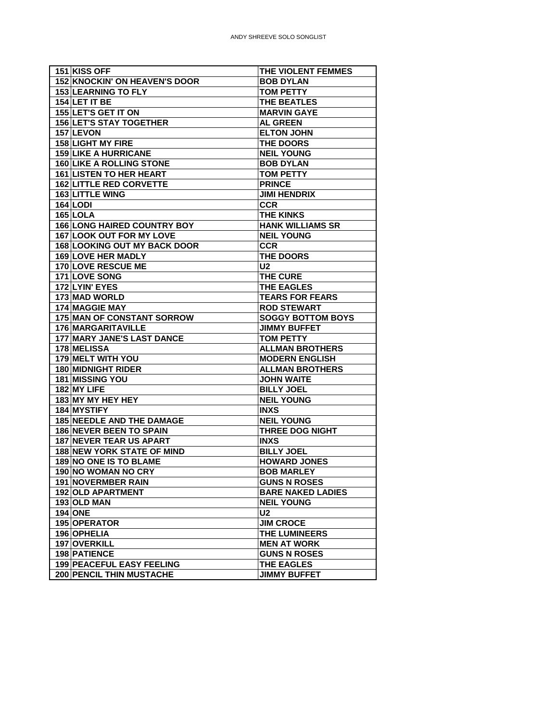| 151 KISS OFF                        | THE VIOLENT FEMMES       |
|-------------------------------------|--------------------------|
| 152 KNOCKIN' ON HEAVEN'S DOOR       | <b>BOB DYLAN</b>         |
| <b>153 LEARNING TO FLY</b>          | <b>TOM PETTY</b>         |
| 154 LET IT BE                       | <b>THE BEATLES</b>       |
| 155 LET'S GET IT ON                 | <b>MARVIN GAYE</b>       |
| <b>156 LET'S STAY TOGETHER</b>      | <b>AL GREEN</b>          |
| 157 LEVON                           | <b>ELTON JOHN</b>        |
| <b>158 LIGHT MY FIRE</b>            | <b>THE DOORS</b>         |
| <b>159 LIKE A HURRICANE</b>         | <b>NEIL YOUNG</b>        |
| <b>160 LIKE A ROLLING STONE</b>     | <b>BOB DYLAN</b>         |
| <b>161 LISTEN TO HER HEART</b>      | <b>TOM PETTY</b>         |
| <b>162 LITTLE RED CORVETTE</b>      | <b>PRINCE</b>            |
| 163 LITTLE WING                     | <b>JIMI HENDRIX</b>      |
| $164$ LODI                          | <b>CCR</b>               |
| $165$ LOLA                          | THE KINKS                |
| <b>166 LONG HAIRED COUNTRY BOY</b>  | <b>HANK WILLIAMS SR</b>  |
| 167 LOOK OUT FOR MY LOVE            | <b>NEIL YOUNG</b>        |
| <b>168 LOOKING OUT MY BACK DOOR</b> | <b>CCR</b>               |
| <b>169 LOVE HER MADLY</b>           | <b>THE DOORS</b>         |
| 170 LOVE RESCUE ME                  | U <sub>2</sub>           |
| 171 LOVE SONG                       | THE CURE                 |
| 172 LYIN' EYES                      | <b>THE EAGLES</b>        |
| 173 MAD WORLD                       | <b>TEARS FOR FEARS</b>   |
| 174 MAGGIE MAY                      | <b>ROD STEWART</b>       |
| <b>175 MAN OF CONSTANT SORROW</b>   | <b>SOGGY BOTTOM BOYS</b> |
| 176 MARGARITAVILLE                  | <b>JIMMY BUFFET</b>      |
| <b>177 MARY JANE'S LAST DANCE</b>   | <b>TOM PETTY</b>         |
| 178 MELISSA                         | <b>ALLMAN BROTHERS</b>   |
| 179 MELT WITH YOU                   | <b>MODERN ENGLISH</b>    |
| 180 MIDNIGHT RIDER                  | <b>ALLMAN BROTHERS</b>   |
| 181 MISSING YOU                     | <b>JOHN WAITE</b>        |
| 182 MY LIFE                         | <b>BILLY JOEL</b>        |
| 183 MY MY HEY HEY                   | <b>NEIL YOUNG</b>        |
| 184 MYSTIFY                         | <b>INXS</b>              |
| <b>185 NEEDLE AND THE DAMAGE</b>    | <b>NEIL YOUNG</b>        |
| <b>186 NEVER BEEN TO SPAIN</b>      | <b>THREE DOG NIGHT</b>   |
| <b>187 NEVER TEAR US APART</b>      | <b>INXS</b>              |
| <b>188 NEW YORK STATE OF MIND</b>   | <b>BILLY JOEL</b>        |
| 189 NO ONE IS TO BLAME              | <b>HOWARD JONES</b>      |
| 190 NO WOMAN NO CRY                 | <b>BOB MARLEY</b>        |
| 191 NOVERMBER RAIN                  | <b>GUNS N ROSES</b>      |
| <b>192 OLD APARTMENT</b>            | <b>BARE NAKED LADIES</b> |
| 193 OLD MAN                         | <b>NEIL YOUNG</b>        |
| 194 ONE                             | <b>U2</b>                |
| 195 OPERATOR                        | <b>JIM CROCE</b>         |
| 196 OPHELIA                         | <b>THE LUMINEERS</b>     |
| 197 OVERKILL                        | <b>MEN AT WORK</b>       |
| 198 PATIENCE                        | <b>GUNS N ROSES</b>      |
| <b>199 PEACEFUL EASY FEELING</b>    | <b>THE EAGLES</b>        |
|                                     |                          |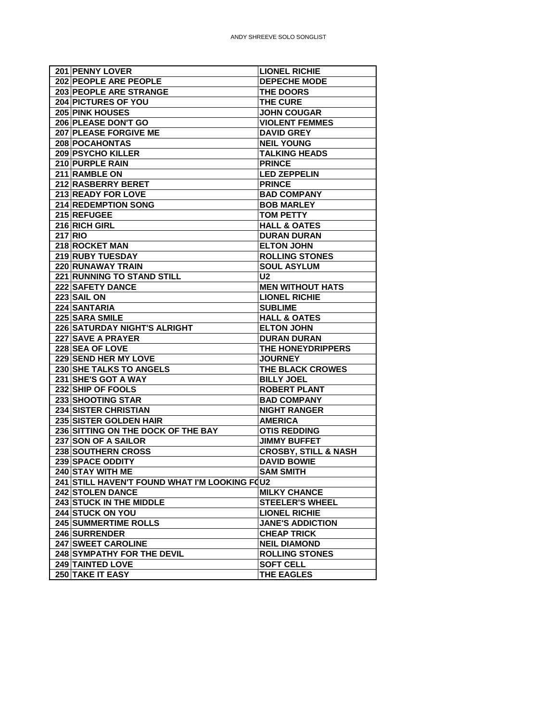| 201 PENNY LOVER                               | <b>LIONEL RICHIE</b>            |
|-----------------------------------------------|---------------------------------|
| 202 PEOPLE ARE PEOPLE                         | <b>DEPECHE MODE</b>             |
| 203 PEOPLE ARE STRANGE                        | <b>THE DOORS</b>                |
| 204 PICTURES OF YOU                           | THE CURE                        |
| 205 PINK HOUSES                               | <b>JOHN COUGAR</b>              |
| 206 PLEASE DON'T GO                           | <b>VIOLENT FEMMES</b>           |
| 207 PLEASE FORGIVE ME                         | <b>DAVID GREY</b>               |
| 208 POCAHONTAS                                | <b>NEIL YOUNG</b>               |
| 209 PSYCHO KILLER                             | <b>TALKING HEADS</b>            |
| 210 PURPLE RAIN                               | <b>PRINCE</b>                   |
| 211 RAMBLE ON                                 | <b>LED ZEPPELIN</b>             |
| 212 RASBERRY BERET                            | <b>PRINCE</b>                   |
| 213 READY FOR LOVE                            | <b>BAD COMPANY</b>              |
| 214 REDEMPTION SONG                           | <b>BOB MARLEY</b>               |
| 215 REFUGEE                                   | <b>TOM PETTY</b>                |
| 216 RICH GIRL                                 | <b>HALL &amp; OATES</b>         |
| 217 RIO                                       | <b>DURAN DURAN</b>              |
| 218 ROCKET MAN                                | <b>ELTON JOHN</b>               |
| 219 RUBY TUESDAY                              | <b>ROLLING STONES</b>           |
| 220 RUNAWAY TRAIN                             | <b>SOUL ASYLUM</b>              |
| 221 RUNNING TO STAND STILL                    | U <sub>2</sub>                  |
| 222 SAFETY DANCE                              | <b>MEN WITHOUT HATS</b>         |
| 223 SAIL ON                                   | <b>LIONEL RICHIE</b>            |
| 224 SANTARIA                                  | <b>SUBLIME</b>                  |
| 225 SARA SMILE                                | <b>HALL &amp; OATES</b>         |
| <b>226 SATURDAY NIGHT'S ALRIGHT</b>           | <b>ELTON JOHN</b>               |
|                                               |                                 |
| 227 SAVE A PRAYER<br>228 SEA OF LOVE          | <b>DURAN DURAN</b>              |
|                                               | THE HONEYDRIPPERS               |
| 229 SEND HER MY LOVE                          | <b>JOURNEY</b>                  |
| 230 SHE TALKS TO ANGELS                       | THE BLACK CROWES                |
| 231 SHE'S GOT A WAY                           | <b>BILLY JOEL</b>               |
| 232 SHIP OF FOOLS                             | <b>ROBERT PLANT</b>             |
| 233 SHOOTING STAR                             | <b>BAD COMPANY</b>              |
| 234 SISTER CHRISTIAN                          | <b>NIGHT RANGER</b>             |
| 235 SISTER GOLDEN HAIR                        | <b>AMERICA</b>                  |
| 236 SITTING ON THE DOCK OF THE BAY            | <b>OTIS REDDING</b>             |
| 237 SON OF A SAILOR                           | <b>JIMMY BUFFET</b>             |
| 238 SOUTHERN CROSS                            | <b>CROSBY, STILL &amp; NASH</b> |
| 239 SPACE ODDITY                              | <b>DAVID BOWIE</b>              |
| 240 STAY WITH ME                              | <b>SAM SMITH</b>                |
| 241 STILL HAVEN'T FOUND WHAT I'M LOOKING FOU2 |                                 |
| 242 STOLEN DANCE                              | <b>MILKY CHANCE</b>             |
| 243 STUCK IN THE MIDDLE                       | <b>STEELER'S WHEEL</b>          |
| 244 STUCK ON YOU                              | <b>LIONEL RICHIE</b>            |
| 245 SUMMERTIME ROLLS                          | <b>JANE'S ADDICTION</b>         |
| 246 SURRENDER                                 | <b>CHEAP TRICK</b>              |
| 247 SWEET CAROLINE                            | <b>NEIL DIAMOND</b>             |
| <b>248 SYMPATHY FOR THE DEVIL</b>             | <b>ROLLING STONES</b>           |
| 249 TAINTED LOVE                              | <b>SOFT CELL</b>                |
| 250 TAKE IT EASY                              | THE EAGLES                      |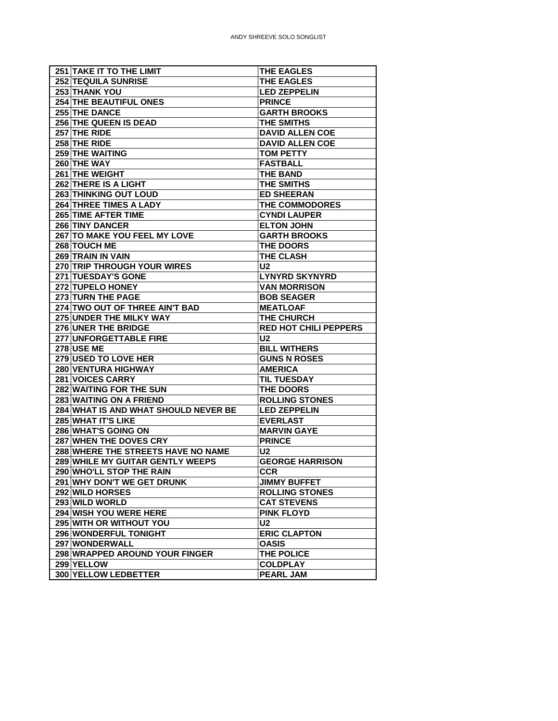| <b>251 TAKE IT TO THE LIMIT</b>      | <b>THE EAGLES</b>            |
|--------------------------------------|------------------------------|
| <b>252 TEQUILA SUNRISE</b>           | <b>THE EAGLES</b>            |
| 253 THANK YOU                        | <b>LED ZEPPELIN</b>          |
| <b>254 THE BEAUTIFUL ONES</b>        | <b>PRINCE</b>                |
| <b>255 THE DANCE</b>                 | <b>GARTH BROOKS</b>          |
| <b>256 THE QUEEN IS DEAD</b>         | <b>THE SMITHS</b>            |
| 257 THE RIDE                         | <b>DAVID ALLEN COE</b>       |
| 258 THE RIDE                         | <b>DAVID ALLEN COE</b>       |
| 259 THE WAITING                      | <b>TOM PETTY</b>             |
| 260 THE WAY                          | <b>FASTBALL</b>              |
| 261 THE WEIGHT                       | <b>THE BAND</b>              |
| 262 THERE IS A LIGHT                 | <b>THE SMITHS</b>            |
| <b>263 THINKING OUT LOUD</b>         | <b>ED SHEERAN</b>            |
| 264 THREE TIMES A LADY               | <b>THE COMMODORES</b>        |
| <b>265 TIME AFTER TIME</b>           | <b>CYNDI LAUPER</b>          |
| <b>266 TINY DANCER</b>               | <b>ELTON JOHN</b>            |
| 267 TO MAKE YOU FEEL MY LOVE         | <b>GARTH BROOKS</b>          |
| 268 TOUCH ME                         | <b>THE DOORS</b>             |
| 269 TRAIN IN VAIN                    | <b>THE CLASH</b>             |
| <b>270 TRIP THROUGH YOUR WIRES</b>   | U <sub>2</sub>               |
| <b>271 TUESDAY'S GONE</b>            | <b>LYNYRD SKYNYRD</b>        |
| 272 TUPELO HONEY                     | <b>VAN MORRISON</b>          |
| 273 TURN THE PAGE                    | <b>BOB SEAGER</b>            |
| 274 TWO OUT OF THREE AIN'T BAD       | <b>MEATLOAF</b>              |
| 275 UNDER THE MILKY WAY              | THE CHURCH                   |
| 276 UNER THE BRIDGE                  | <b>RED HOT CHILI PEPPERS</b> |
| 277 UNFORGETTABLE FIRE               | U <sub>2</sub>               |
| <b>278 USE ME</b>                    | <b>BILL WITHERS</b>          |
| 279 USED TO LOVE HER                 | <b>GUNS N ROSES</b>          |
| <b>280 VENTURA HIGHWAY</b>           | <b>AMERICA</b>               |
| 281 VOICES CARRY                     | <b>TIL TUESDAY</b>           |
| 282 WAITING FOR THE SUN              | <b>THE DOORS</b>             |
| 283 WAITING ON A FRIEND              | <b>ROLLING STONES</b>        |
| 284 WHAT IS AND WHAT SHOULD NEVER BE | <b>LED ZEPPELIN</b>          |
| 285 WHAT IT'S LIKE                   | <b>EVERLAST</b>              |
| 286 WHAT'S GOING ON                  | <b>MARVIN GAYE</b>           |
| 287 WHEN THE DOVES CRY               | <b>PRINCE</b>                |
| 288 WHERE THE STREETS HAVE NO NAME   | U2                           |
| 289 WHILE MY GUITAR GENTLY WEEPS     | <b>GEORGE HARRISON</b>       |
| 290 WHO'LL STOP THE RAIN             | <b>CCR</b>                   |
| 291 WHY DON'T WE GET DRUNK           | <b>JIMMY BUFFET</b>          |
| 292 WILD HORSES                      | <b>ROLLING STONES</b>        |
| 293 WILD WORLD                       | <b>CAT STEVENS</b>           |
| 294 WISH YOU WERE HERE               | <b>PINK FLOYD</b>            |
| 295 WITH OR WITHOUT YOU              | U <sub>2</sub>               |
| 296 WONDERFUL TONIGHT                | <b>ERIC CLAPTON</b>          |
| 297 WONDERWALL                       | <b>OASIS</b>                 |
| 298 WRAPPED AROUND YOUR FINGER       | THE POLICE                   |
| 299 YELLOW                           | <b>COLDPLAY</b>              |
| 300 YELLOW LEDBETTER                 | <b>PEARL JAM</b>             |